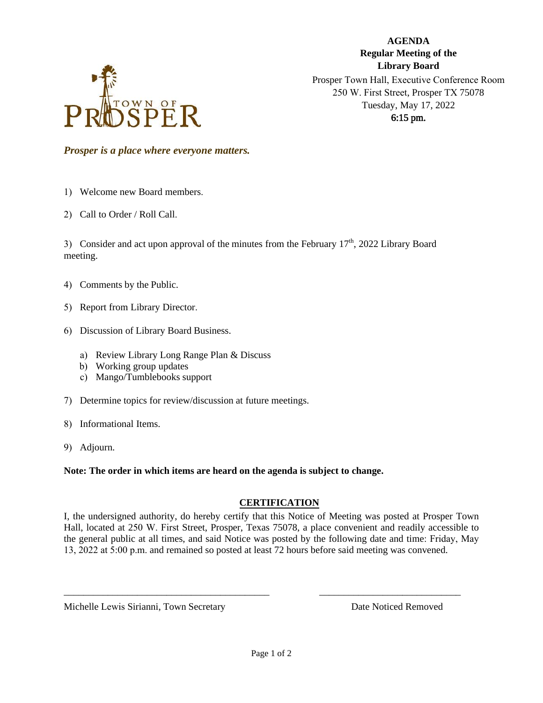

**AGENDA Regular Meeting of the Library Board**  Prosper Town Hall, Executive Conference Room 250 W. First Street, Prosper TX 75078 Tuesday, May 17, 2022 6:15 pm.

*Prosper is a place where everyone matters.*

1) Welcome new Board members.

2) Call to Order / Roll Call.

3) Consider and act upon approval of the minutes from the February  $17<sup>th</sup>$ , 2022 Library Board meeting.

- 4) Comments by the Public.
- 5) Report from Library Director.
- 6) Discussion of Library Board Business.
	- a) Review Library Long Range Plan & Discuss
	- b) Working group updates
	- c) Mango/Tumblebooks support
- 7) Determine topics for review/discussion at future meetings.
- 8) Informational Items.
- 9) Adjourn.

**Note: The order in which items are heard on the agenda is subject to change.**

## **CERTIFICATION**

I, the undersigned authority, do hereby certify that this Notice of Meeting was posted at Prosper Town Hall, located at 250 W. First Street, Prosper, Texas 75078, a place convenient and readily accessible to the general public at all times, and said Notice was posted by the following date and time: Friday, May 13, 2022 at 5:00 p.m. and remained so posted at least 72 hours before said meeting was convened.

\_\_\_\_\_\_\_\_\_\_\_\_\_\_\_\_\_\_\_\_\_\_\_\_\_\_\_\_\_\_\_\_\_\_\_\_\_\_\_\_\_\_ \_\_\_\_\_\_\_\_\_\_\_\_\_\_\_\_\_\_\_\_\_\_\_\_\_\_\_\_\_

Michelle Lewis Sirianni, Town Secretary **Date Noticed Removed** Date Noticed Removed